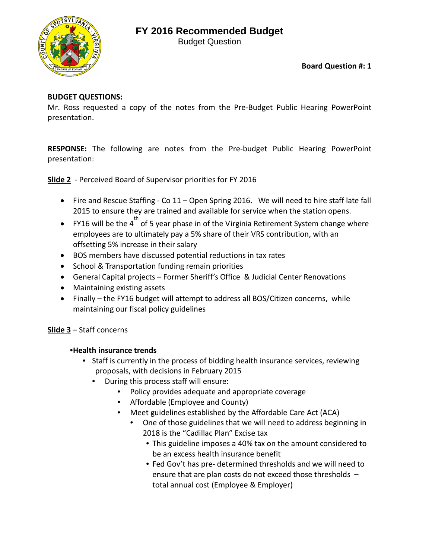## **FY 2016 Recommended Budget**

Budget Question



**Board Question #: 1**

### **BUDGET QUESTIONS:**

Mr. Ross requested a copy of the notes from the Pre-Budget Public Hearing PowerPoint presentation.

**RESPONSE:** The following are notes from the Pre-budget Public Hearing PowerPoint presentation:

**Slide 2** - Perceived Board of Supervisor priorities for FY 2016

- Fire and Rescue Staffing Co 11 Open Spring 2016. We will need to hire staff late fall 2015 to ensure they are trained and available for service when the station opens.
- FY16 will be the 4 $^{\text{th}}$  of 5 year phase in of the Virginia Retirement System change where employees are to ultimately pay a 5% share of their VRS contribution, with an offsetting 5% increase in their salary
- BOS members have discussed potential reductions in tax rates
- School & Transportation funding remain priorities
- General Capital projects Former Sheriff's Office & Judicial Center Renovations
- Maintaining existing assets
- Finally the FY16 budget will attempt to address all BOS/Citizen concerns, while maintaining our fiscal policy guidelines

## **Slide 3** – Staff concerns

#### •**Health insurance trends**

- Staff is currently in the process of bidding health insurance services, reviewing proposals, with decisions in February 2015
	- During this process staff will ensure:
		- Policy provides adequate and appropriate coverage
		- Affordable (Employee and County)
		- Meet guidelines established by the Affordable Care Act (ACA)
			- One of those guidelines that we will need to address beginning in 2018 is the "Cadillac Plan" Excise tax
				- This guideline imposes a 40% tax on the amount considered to be an excess health insurance benefit
				- Fed Gov't has pre- determined thresholds and we will need to ensure that are plan costs do not exceed those thresholds – total annual cost (Employee & Employer)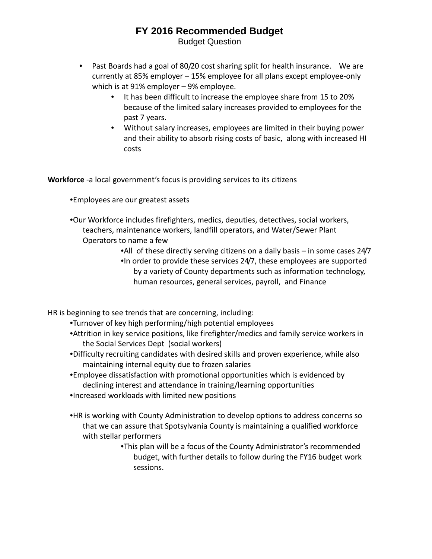## **FY 2016 Recommended Budget** Budget Question

- Past Boards had a goal of 80/20 cost sharing split for health insurance. We are currently at 85% employer – 15% employee for all plans except employee-only which is at 91% employer – 9% employee.
	- It has been difficult to increase the employee share from 15 to 20% because of the limited salary increases provided to employees for the past 7 years.
	- Without salary increases, employees are limited in their buying power and their ability to absorb rising costs of basic, along with increased HI costs

**Workforce** -a local government's focus is providing services to its citizens

- •Employees are our greatest assets
- •Our Workforce includes firefighters, medics, deputies, detectives, social workers, teachers, maintenance workers, landfill operators, and Water/Sewer Plant Operators to name a few

•All of these directly serving citizens on a daily basis – in some cases 24/7 •In order to provide these services 24/7, these employees are supported by a variety of County departments such as information technology, human resources, general services, payroll, and Finance

HR is beginning to see trends that are concerning, including:

- •Turnover of key high performing/high potential employees
- •Attrition in key service positions, like firefighter/medics and family service workers in the Social Services Dept (social workers)
- •Difficulty recruiting candidates with desired skills and proven experience, while also maintaining internal equity due to frozen salaries
- •Employee dissatisfaction with promotional opportunities which is evidenced by declining interest and attendance in training/learning opportunities
- •Increased workloads with limited new positions
- •HR is working with County Administration to develop options to address concerns so that we can assure that Spotsylvania County is maintaining a qualified workforce with stellar performers
	- •This plan will be a focus of the County Administrator's recommended budget, with further details to follow during the FY16 budget work sessions.